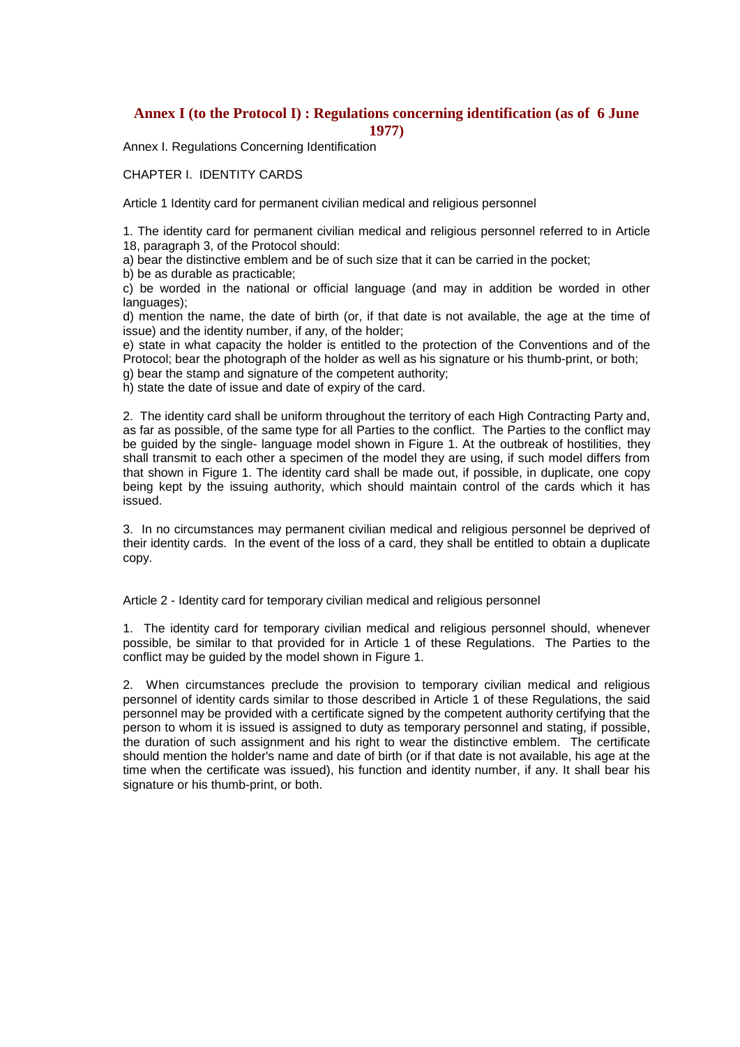# **Annex I (to the Protocol I) : Regulations concerning identification (as of 6 June 1977)**

Annex I. Regulations Concerning Identification

### CHAPTER I. IDENTITY CARDS

Article 1 Identity card for permanent civilian medical and religious personnel

1. The identity card for permanent civilian medical and religious personnel referred to in Article 18, paragraph 3, of the Protocol should:

a) bear the distinctive emblem and be of such size that it can be carried in the pocket;

b) be as durable as practicable;

c) be worded in the national or official language (and may in addition be worded in other languages);

d) mention the name, the date of birth (or, if that date is not available, the age at the time of issue) and the identity number, if any, of the holder;

e) state in what capacity the holder is entitled to the protection of the Conventions and of the Protocol; bear the photograph of the holder as well as his signature or his thumb-print, or both;

g) bear the stamp and signature of the competent authority;

h) state the date of issue and date of expiry of the card.

2. The identity card shall be uniform throughout the territory of each High Contracting Party and, as far as possible, of the same type for all Parties to the conflict. The Parties to the conflict may be guided by the single- language model shown in Figure 1. At the outbreak of hostilities, they shall transmit to each other a specimen of the model they are using, if such model differs from that shown in Figure 1. The identity card shall be made out, if possible, in duplicate, one copy being kept by the issuing authority, which should maintain control of the cards which it has issued.

3. In no circumstances may permanent civilian medical and religious personnel be deprived of their identity cards. In the event of the loss of a card, they shall be entitled to obtain a duplicate copy.

Article 2 - Identity card for temporary civilian medical and religious personnel

1. The identity card for temporary civilian medical and religious personnel should, whenever possible, be similar to that provided for in Article 1 of these Regulations. The Parties to the conflict may be guided by the model shown in Figure 1.

2. When circumstances preclude the provision to temporary civilian medical and religious personnel of identity cards similar to those described in Article 1 of these Regulations, the said personnel may be provided with a certificate signed by the competent authority certifying that the person to whom it is issued is assigned to duty as temporary personnel and stating, if possible, the duration of such assignment and his right to wear the distinctive emblem. The certificate should mention the holder's name and date of birth (or if that date is not available, his age at the time when the certificate was issued), his function and identity number, if any. It shall bear his signature or his thumb-print, or both.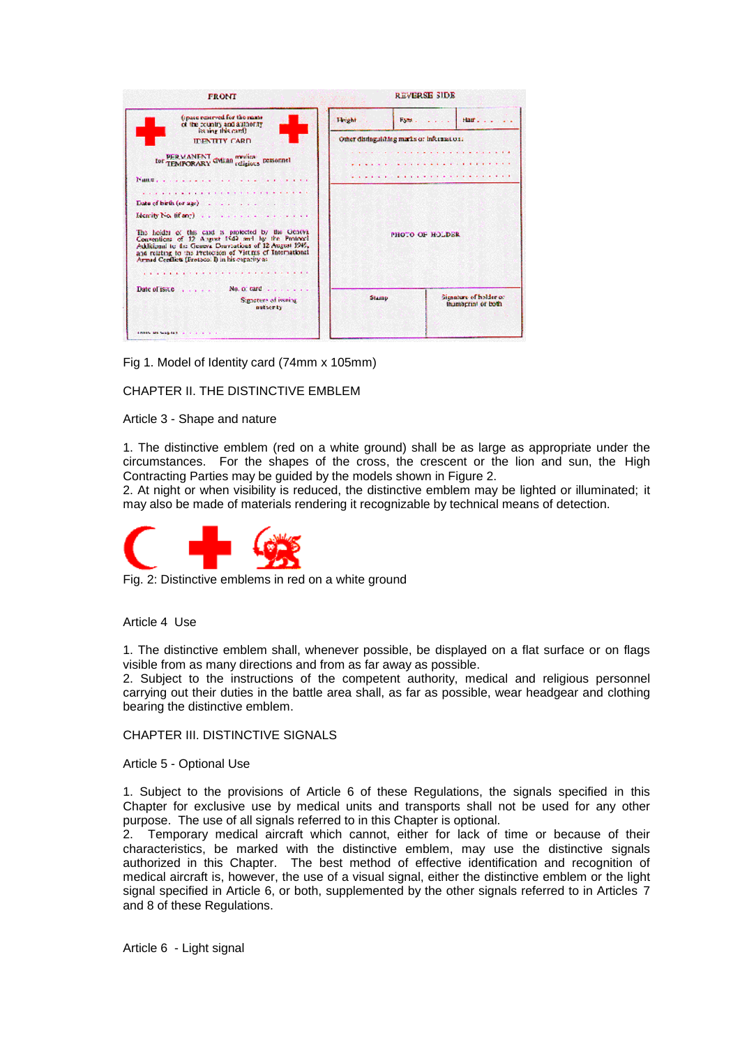| <b>FRONT</b>                                                                                                                                                                                                                                                                                                                                                                 | <b>REVERSE SIDE</b>                        |                                              |
|------------------------------------------------------------------------------------------------------------------------------------------------------------------------------------------------------------------------------------------------------------------------------------------------------------------------------------------------------------------------------|--------------------------------------------|----------------------------------------------|
| (space reserved for the many<br>of the country and authority<br>issaine this card).                                                                                                                                                                                                                                                                                          | <b>Ficient</b><br>Fans.                    | Hair Disku<br>$2.1 - 1.1$                    |
| <b>IDENTITY CARD</b>                                                                                                                                                                                                                                                                                                                                                         | Other distinguishing marks or information: |                                              |
| tor PERMANENT CMian molical personnel                                                                                                                                                                                                                                                                                                                                        |                                            | .                                            |
| $P$ ance                                                                                                                                                                                                                                                                                                                                                                     |                                            | .                                            |
| Data of birth (or age) .<br>Identify No. (if any) and a solution of the company of the<br>The holder of this card is protected by the Geneva<br>Conventions of 12 Abgust 1549 and by the Protocol<br>Additional to the Geneva Douventions of 12 August 1945,<br>and relating to the Pretection of Vietnis of International<br>Armad Centliets (Fretocol I) in his expansy as | PHOTO OF HOLDER                            |                                              |
| No. of tard $\ldots$<br>Date of issue<br>Signifiers of issning<br>nuticety                                                                                                                                                                                                                                                                                                   | Stamp                                      | Signature of holder or<br>thumberint or both |
| announcement and a signal                                                                                                                                                                                                                                                                                                                                                    |                                            |                                              |

Fig 1. Model of Identity card (74mm x 105mm)

# CHAPTER II. THE DISTINCTIVE EMBLEM

Article 3 - Shape and nature

1. The distinctive emblem (red on a white ground) shall be as large as appropriate under the circumstances. For the shapes of the cross, the crescent or the lion and sun, the High Contracting Parties may be guided by the models shown in Figure 2.

2. At night or when visibility is reduced, the distinctive emblem may be lighted or illuminated; it may also be made of materials rendering it recognizable by technical means of detection.



Fig. 2: Distinctive emblems in red on a white ground

Article 4 Use

1. The distinctive emblem shall, whenever possible, be displayed on a flat surface or on flags visible from as many directions and from as far away as possible.

2. Subject to the instructions of the competent authority, medical and religious personnel carrying out their duties in the battle area shall, as far as possible, wear headgear and clothing bearing the distinctive emblem.

CHAPTER III. DISTINCTIVE SIGNALS

Article 5 - Optional Use

1. Subject to the provisions of Article 6 of these Regulations, the signals specified in this Chapter for exclusive use by medical units and transports shall not be used for any other purpose. The use of all signals referred to in this Chapter is optional.

2. Temporary medical aircraft which cannot, either for lack of time or because of their characteristics, be marked with the distinctive emblem, may use the distinctive signals authorized in this Chapter. The best method of effective identification and recognition of medical aircraft is, however, the use of a visual signal, either the distinctive emblem or the light signal specified in Article 6, or both, supplemented by the other signals referred to in Articles 7 and 8 of these Regulations.

Article 6 - Light signal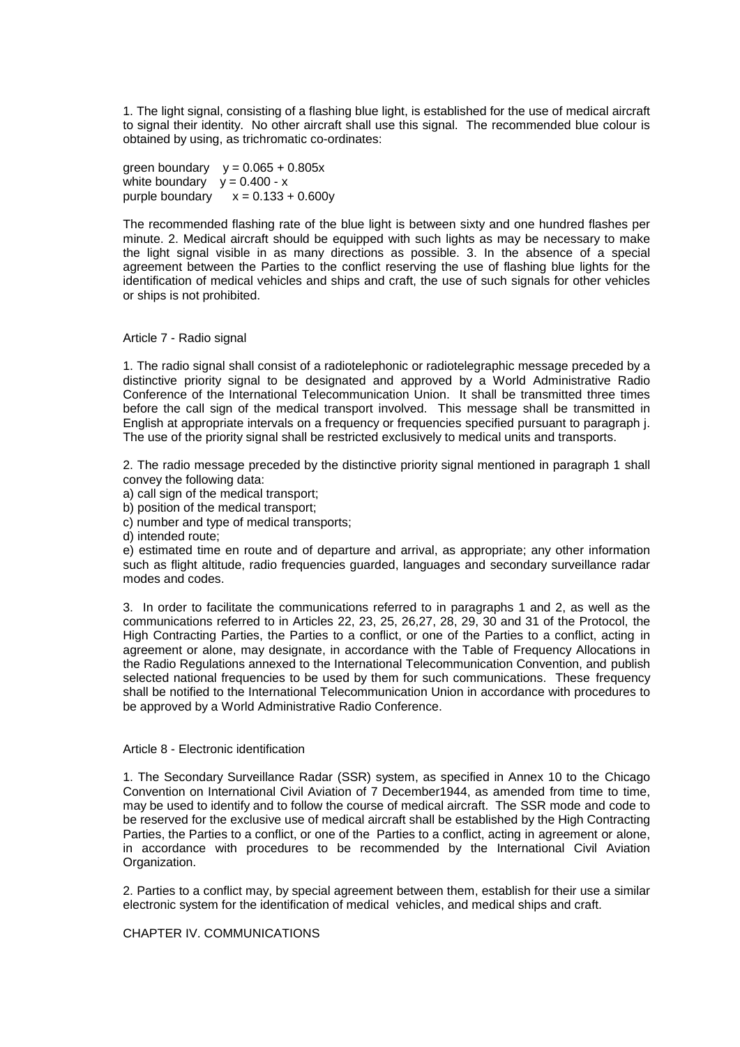1. The light signal, consisting of a flashing blue light, is established for the use of medical aircraft to signal their identity. No other aircraft shall use this signal. The recommended blue colour is obtained by using, as trichromatic co-ordinates:

green boundary  $y = 0.065 + 0.805x$ white boundary  $y = 0.400 - x$ purple boundary  $x = 0.133 + 0.600y$ 

The recommended flashing rate of the blue light is between sixty and one hundred flashes per minute. 2. Medical aircraft should be equipped with such lights as may be necessary to make the light signal visible in as many directions as possible. 3. In the absence of a special agreement between the Parties to the conflict reserving the use of flashing blue lights for the identification of medical vehicles and ships and craft, the use of such signals for other vehicles or ships is not prohibited.

#### Article 7 - Radio signal

1. The radio signal shall consist of a radiotelephonic or radiotelegraphic message preceded by a distinctive priority signal to be designated and approved by a World Administrative Radio Conference of the International Telecommunication Union. It shall be transmitted three times before the call sign of the medical transport involved. This message shall be transmitted in English at appropriate intervals on a frequency or frequencies specified pursuant to paragraph j. The use of the priority signal shall be restricted exclusively to medical units and transports.

2. The radio message preceded by the distinctive priority signal mentioned in paragraph 1 shall convey the following data:

a) call sign of the medical transport;

b) position of the medical transport;

c) number and type of medical transports;

d) intended route;

e) estimated time en route and of departure and arrival, as appropriate; any other information such as flight altitude, radio frequencies guarded, languages and secondary surveillance radar modes and codes.

3. In order to facilitate the communications referred to in paragraphs 1 and 2, as well as the communications referred to in Articles 22, 23, 25, 26,27, 28, 29, 30 and 31 of the Protocol, the High Contracting Parties, the Parties to a conflict, or one of the Parties to a conflict, acting in agreement or alone, may designate, in accordance with the Table of Frequency Allocations in the Radio Regulations annexed to the International Telecommunication Convention, and publish selected national frequencies to be used by them for such communications. These frequency shall be notified to the International Telecommunication Union in accordance with procedures to be approved by a World Administrative Radio Conference.

#### Article 8 - Electronic identification

1. The Secondary Surveillance Radar (SSR) system, as specified in Annex 10 to the Chicago Convention on International Civil Aviation of 7 December1944, as amended from time to time, may be used to identify and to follow the course of medical aircraft. The SSR mode and code to be reserved for the exclusive use of medical aircraft shall be established by the High Contracting Parties, the Parties to a conflict, or one of the Parties to a conflict, acting in agreement or alone, in accordance with procedures to be recommended by the International Civil Aviation Organization.

2. Parties to a conflict may, by special agreement between them, establish for their use a similar electronic system for the identification of medical vehicles, and medical ships and craft.

# CHAPTER IV. COMMUNICATIONS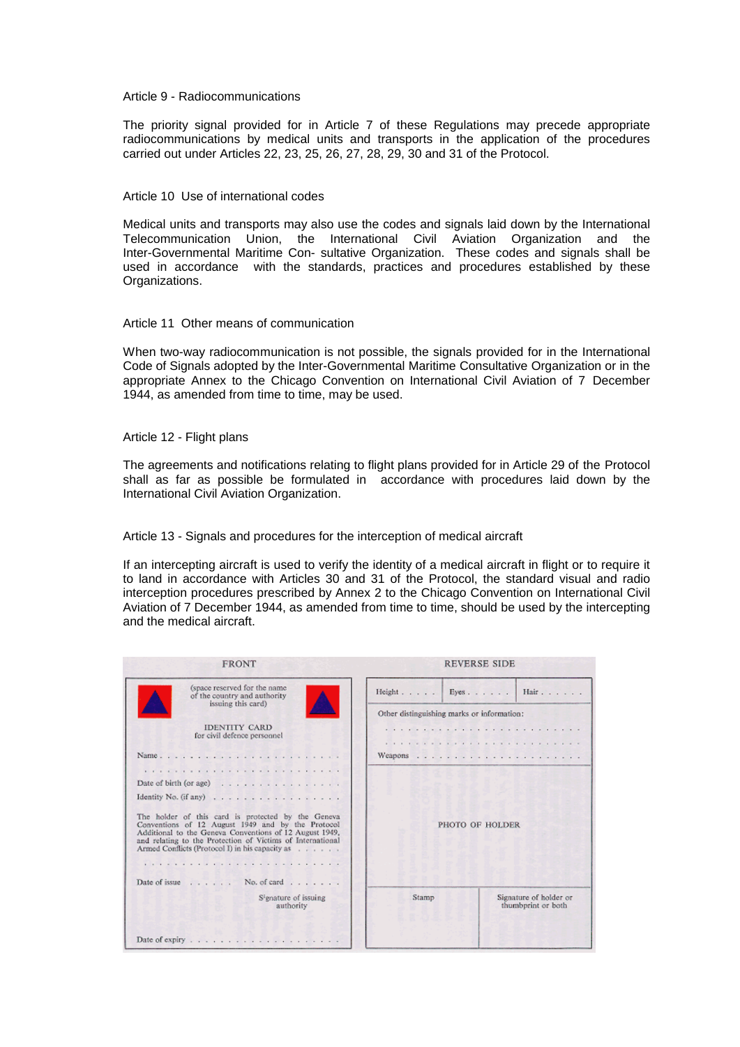#### Article 9 - Radiocommunications

The priority signal provided for in Article 7 of these Regulations may precede appropriate radiocommunications by medical units and transports in the application of the procedures carried out under Articles 22, 23, 25, 26, 27, 28, 29, 30 and 31 of the Protocol.

#### Article 10 Use of international codes

Medical units and transports may also use the codes and signals laid down by the International Telecommunication Union, the International Civil Aviation Organization and the Inter-Governmental Maritime Con- sultative Organization. These codes and signals shall be used in accordance with the standards, practices and procedures established by these Organizations.

#### Article 11 Other means of communication

When two-way radiocommunication is not possible, the signals provided for in the International Code of Signals adopted by the Inter-Governmental Maritime Consultative Organization or in the appropriate Annex to the Chicago Convention on International Civil Aviation of 7 December 1944, as amended from time to time, may be used.

#### Article 12 - Flight plans

The agreements and notifications relating to flight plans provided for in Article 29 of the Protocol shall as far as possible be formulated in accordance with procedures laid down by the International Civil Aviation Organization.

Article 13 - Signals and procedures for the interception of medical aircraft

If an intercepting aircraft is used to verify the identity of a medical aircraft in flight or to require it to land in accordance with Articles 30 and 31 of the Protocol, the standard visual and radio interception procedures prescribed by Annex 2 to the Chicago Convention on International Civil Aviation of 7 December 1944, as amended from time to time, should be used by the intercepting and the medical aircraft.

| <b>REVERSE SIDE</b>                        |                                              |
|--------------------------------------------|----------------------------------------------|
|                                            | Height. Eyes.   Hair.                        |
| Other distinguishing marks or information: |                                              |
| .                                          |                                              |
|                                            |                                              |
|                                            |                                              |
|                                            |                                              |
|                                            |                                              |
| PHOTO OF HOLDER                            |                                              |
|                                            |                                              |
|                                            |                                              |
| Stamp                                      | Signature of holder or<br>thumbprint or both |
|                                            |                                              |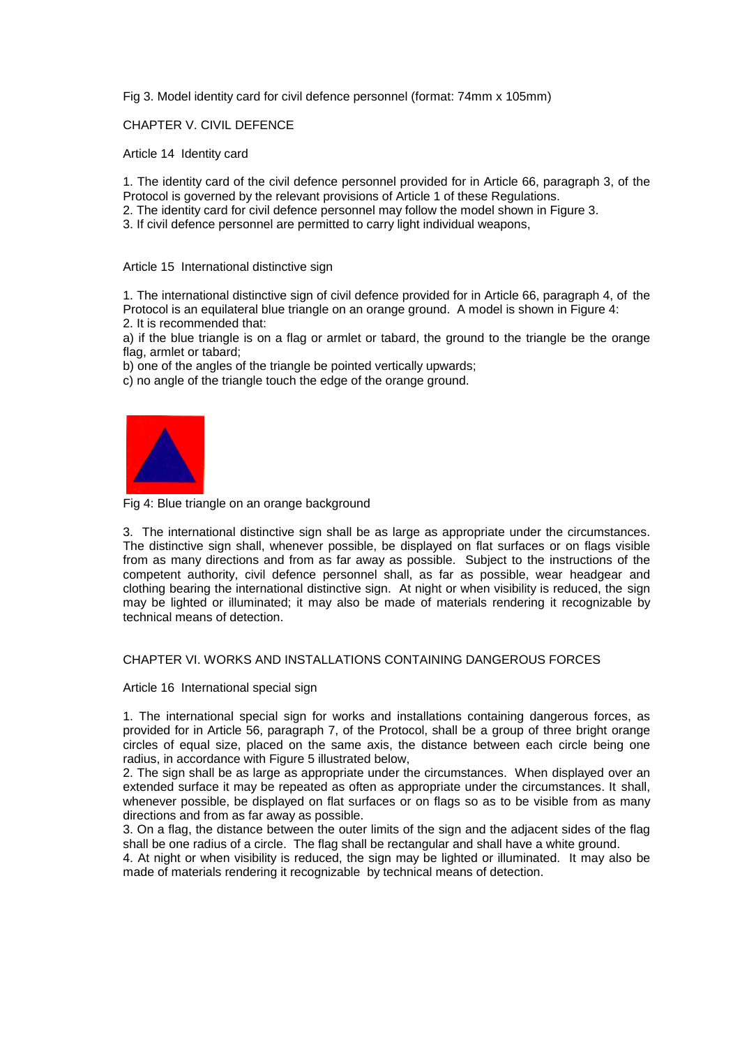Fig 3. Model identity card for civil defence personnel (format: 74mm x 105mm)

### CHAPTER V. CIVIL DEFENCE

Article 14 Identity card

1. The identity card of the civil defence personnel provided for in Article 66, paragraph 3, of the Protocol is governed by the relevant provisions of Article 1 of these Regulations.

2. The identity card for civil defence personnel may follow the model shown in Figure 3.

3. If civil defence personnel are permitted to carry light individual weapons,

### Article 15 International distinctive sign

1. The international distinctive sign of civil defence provided for in Article 66, paragraph 4, of the Protocol is an equilateral blue triangle on an orange ground. A model is shown in Figure 4: 2. It is recommended that:

a) if the blue triangle is on a flag or armlet or tabard, the ground to the triangle be the orange flag, armlet or tabard;

b) one of the angles of the triangle be pointed vertically upwards:

c) no angle of the triangle touch the edge of the orange ground.



Fig 4: Blue triangle on an orange background

3. The international distinctive sign shall be as large as appropriate under the circumstances. The distinctive sign shall, whenever possible, be displayed on flat surfaces or on flags visible from as many directions and from as far away as possible. Subject to the instructions of the competent authority, civil defence personnel shall, as far as possible, wear headgear and clothing bearing the international distinctive sign. At night or when visibility is reduced, the sign may be lighted or illuminated; it may also be made of materials rendering it recognizable by technical means of detection.

# CHAPTER VI. WORKS AND INSTALLATIONS CONTAINING DANGEROUS FORCES

Article 16 International special sign

1. The international special sign for works and installations containing dangerous forces, as provided for in Article 56, paragraph 7, of the Protocol, shall be a group of three bright orange circles of equal size, placed on the same axis, the distance between each circle being one radius, in accordance with Figure 5 illustrated below,

2. The sign shall be as large as appropriate under the circumstances. When displayed over an extended surface it may be repeated as often as appropriate under the circumstances. It shall, whenever possible, be displayed on flat surfaces or on flags so as to be visible from as many directions and from as far away as possible.

3. On a flag, the distance between the outer limits of the sign and the adjacent sides of the flag shall be one radius of a circle. The flag shall be rectangular and shall have a white ground.

4. At night or when visibility is reduced, the sign may be lighted or illuminated. It may also be made of materials rendering it recognizable by technical means of detection.